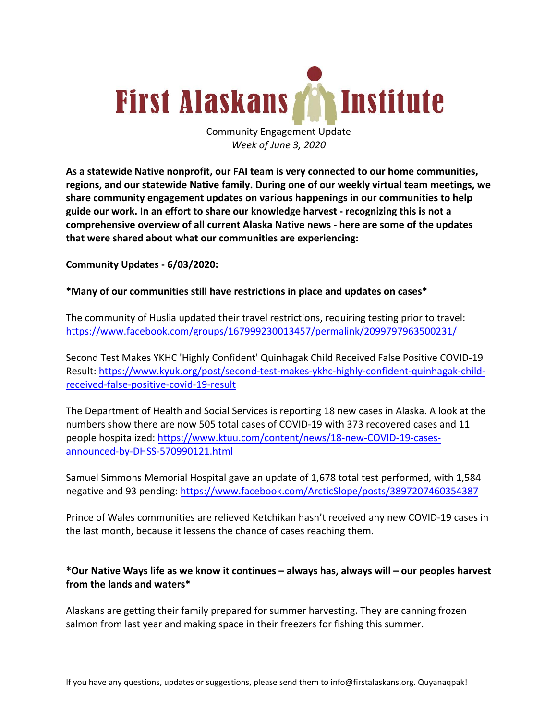

Community Engagement Update *Week of June 3, 2020*

**As a statewide Native nonprofit, our FAI team is very connected to our home communities, regions, and our statewide Native family. During one of our weekly virtual team meetings, we share community engagement updates on various happenings in our communities to help guide our work. In an effort to share our knowledge harvest - recognizing this is not a comprehensive overview of all current Alaska Native news - here are some of the updates that were shared about what our communities are experiencing:**

**Community Updates - 6/03/2020:**

## **\*Many of our communities still have restrictions in place and updates on cases\***

The community of Huslia updated their travel restrictions, requiring testing prior to travel: https://www.facebook.com/groups/167999230013457/permalink/2099797963500231/

Second Test Makes YKHC 'Highly Confident' Quinhagak Child Received False Positive COVID-19 Result: https://www.kyuk.org/post/second-test-makes-ykhc-highly-confident-quinhagak-childreceived-false-positive-covid-19-result

The Department of Health and Social Services is reporting 18 new cases in Alaska. A look at the numbers show there are now 505 total cases of COVID-19 with 373 recovered cases and 11 people hospitalized: https://www.ktuu.com/content/news/18-new-COVID-19-casesannounced-by-DHSS-570990121.html

Samuel Simmons Memorial Hospital gave an update of 1,678 total test performed, with 1,584 negative and 93 pending: https://www.facebook.com/ArcticSlope/posts/3897207460354387

Prince of Wales communities are relieved Ketchikan hasn't received any new COVID-19 cases in the last month, because it lessens the chance of cases reaching them.

## **\*Our Native Ways life as we know it continues – always has, always will – our peoples harvest from the lands and waters\***

Alaskans are getting their family prepared for summer harvesting. They are canning frozen salmon from last year and making space in their freezers for fishing this summer.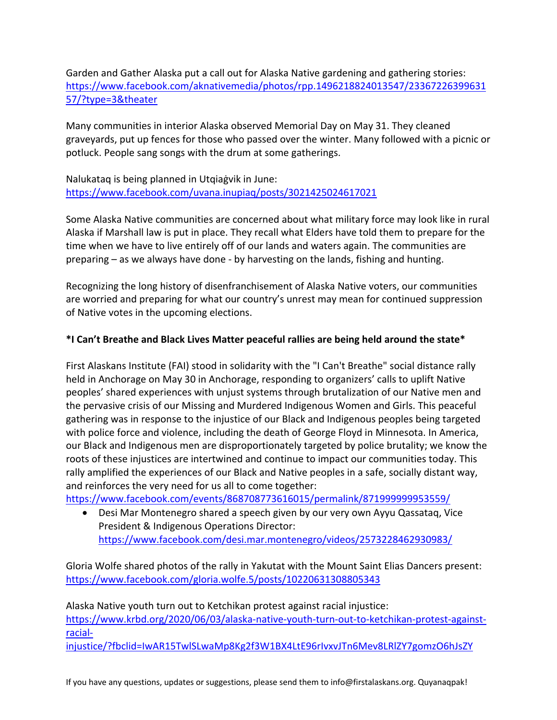Garden and Gather Alaska put a call out for Alaska Native gardening and gathering stories: https://www.facebook.com/aknativemedia/photos/rpp.1496218824013547/23367226399631 57/?type=3&theater

Many communities in interior Alaska observed Memorial Day on May 31. They cleaned graveyards, put up fences for those who passed over the winter. Many followed with a picnic or potluck. People sang songs with the drum at some gatherings.

Nalukataq is being planned in Utqiaġvik in June: https://www.facebook.com/uvana.inupiaq/posts/3021425024617021

Some Alaska Native communities are concerned about what military force may look like in rural Alaska if Marshall law is put in place. They recall what Elders have told them to prepare for the time when we have to live entirely off of our lands and waters again. The communities are preparing – as we always have done - by harvesting on the lands, fishing and hunting.

Recognizing the long history of disenfranchisement of Alaska Native voters, our communities are worried and preparing for what our country's unrest may mean for continued suppression of Native votes in the upcoming elections.

# **\*I Can't Breathe and Black Lives Matter peaceful rallies are being held around the state\***

First Alaskans Institute (FAI) stood in solidarity with the "I Can't Breathe" social distance rally held in Anchorage on May 30 in Anchorage, responding to organizers' calls to uplift Native peoples' shared experiences with unjust systems through brutalization of our Native men and the pervasive crisis of our Missing and Murdered Indigenous Women and Girls. This peaceful gathering was in response to the injustice of our Black and Indigenous peoples being targeted with police force and violence, including the death of George Floyd in Minnesota. In America, our Black and Indigenous men are disproportionately targeted by police brutality; we know the roots of these injustices are intertwined and continue to impact our communities today. This rally amplified the experiences of our Black and Native peoples in a safe, socially distant way, and reinforces the very need for us all to come together:

https://www.facebook.com/events/868708773616015/permalink/871999999953559/

• Desi Mar Montenegro shared a speech given by our very own Ayyu Qassataq, Vice President & Indigenous Operations Director: https://www.facebook.com/desi.mar.montenegro/videos/2573228462930983/

Gloria Wolfe shared photos of the rally in Yakutat with the Mount Saint Elias Dancers present: https://www.facebook.com/gloria.wolfe.5/posts/10220631308805343

Alaska Native youth turn out to Ketchikan protest against racial injustice:

https://www.krbd.org/2020/06/03/alaska-native-youth-turn-out-to-ketchikan-protest-againstracial-

injustice/?fbclid=IwAR15TwlSLwaMp8Kg2f3W1BX4LtE96rIvxvJTn6Mev8LRlZY7gomzO6hJsZY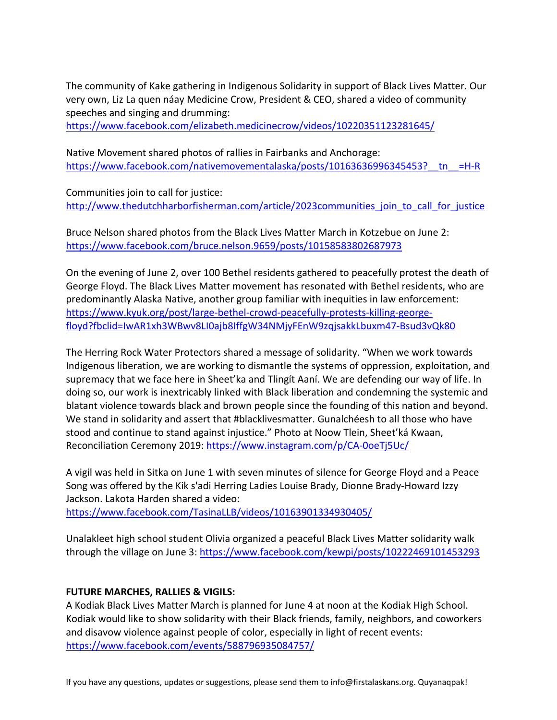The community of Kake gathering in Indigenous Solidarity in support of Black Lives Matter. Our very own, Liz La quen náay Medicine Crow, President & CEO, shared a video of community speeches and singing and drumming:

https://www.facebook.com/elizabeth.medicinecrow/videos/10220351123281645/

Native Movement shared photos of rallies in Fairbanks and Anchorage: https://www.facebook.com/nativemovementalaska/posts/10163636996345453?\_tn\_=H-R

Communities join to call for justice: http://www.thedutchharborfisherman.com/article/2023communities\_join\_to\_call\_for\_justice

Bruce Nelson shared photos from the Black Lives Matter March in Kotzebue on June 2: https://www.facebook.com/bruce.nelson.9659/posts/10158583802687973

On the evening of June 2, over 100 Bethel residents gathered to peacefully protest the death of George Floyd. The Black Lives Matter movement has resonated with Bethel residents, who are predominantly Alaska Native, another group familiar with inequities in law enforcement: https://www.kyuk.org/post/large-bethel-crowd-peacefully-protests-killing-georgefloyd?fbclid=IwAR1xh3WBwv8LI0ajb8IffgW34NMjyFEnW9zqjsakkLbuxm47-Bsud3vQk80

The Herring Rock Water Protectors shared a message of solidarity. "When we work towards Indigenous liberation, we are working to dismantle the systems of oppression, exploitation, and supremacy that we face here in Sheet'ka and Tlingít Aaní. We are defending our way of life. In doing so, our work is inextricably linked with Black liberation and condemning the systemic and blatant violence towards black and brown people since the founding of this nation and beyond. We stand in solidarity and assert that #blacklivesmatter. Gunalchéesh to all those who have stood and continue to stand against injustice." Photo at Noow Tlein, Sheet'ká Kwaan, Reconciliation Ceremony 2019: https://www.instagram.com/p/CA-0oeTj5Uc/

A vigil was held in Sitka on June 1 with seven minutes of silence for George Floyd and a Peace Song was offered by the Kik s'adi Herring Ladies Louise Brady, Dionne Brady-Howard Izzy Jackson. Lakota Harden shared a video:

https://www.facebook.com/TasinaLLB/videos/10163901334930405/

Unalakleet high school student Olivia organized a peaceful Black Lives Matter solidarity walk through the village on June 3: https://www.facebook.com/kewpi/posts/10222469101453293

#### **FUTURE MARCHES, RALLIES & VIGILS:**

A Kodiak Black Lives Matter March is planned for June 4 at noon at the Kodiak High School. Kodiak would like to show solidarity with their Black friends, family, neighbors, and coworkers and disavow violence against people of color, especially in light of recent events: https://www.facebook.com/events/588796935084757/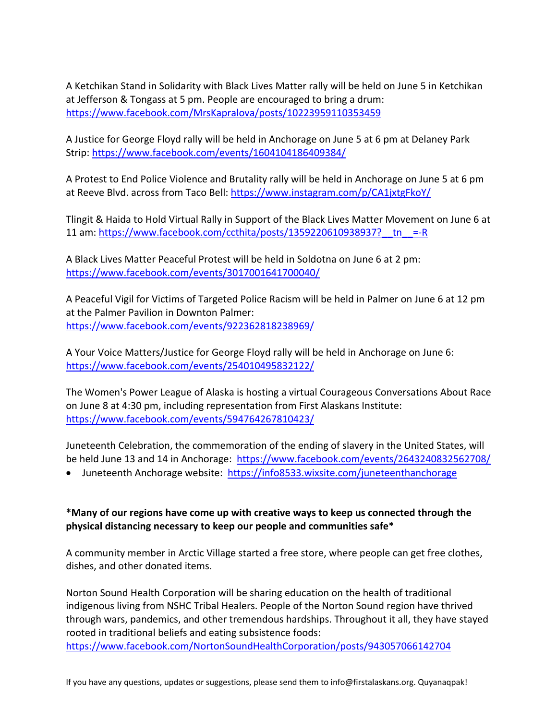A Ketchikan Stand in Solidarity with Black Lives Matter rally will be held on June 5 in Ketchikan at Jefferson & Tongass at 5 pm. People are encouraged to bring a drum: https://www.facebook.com/MrsKapralova/posts/10223959110353459

A Justice for George Floyd rally will be held in Anchorage on June 5 at 6 pm at Delaney Park Strip: https://www.facebook.com/events/1604104186409384/

A Protest to End Police Violence and Brutality rally will be held in Anchorage on June 5 at 6 pm at Reeve Blvd. across from Taco Bell: https://www.instagram.com/p/CA1jxtgFkoY/

Tlingit & Haida to Hold Virtual Rally in Support of the Black Lives Matter Movement on June 6 at 11 am: https://www.facebook.com/ccthita/posts/1359220610938937? $t_n$ =-R

A Black Lives Matter Peaceful Protest will be held in Soldotna on June 6 at 2 pm: https://www.facebook.com/events/3017001641700040/

A Peaceful Vigil for Victims of Targeted Police Racism will be held in Palmer on June 6 at 12 pm at the Palmer Pavilion in Downton Palmer: https://www.facebook.com/events/922362818238969/

A Your Voice Matters/Justice for George Floyd rally will be held in Anchorage on June 6: https://www.facebook.com/events/254010495832122/

The Women's Power League of Alaska is hosting a virtual Courageous Conversations About Race on June 8 at 4:30 pm, including representation from First Alaskans Institute: https://www.facebook.com/events/594764267810423/

Juneteenth Celebration, the commemoration of the ending of slavery in the United States, will be held June 13 and 14 in Anchorage: https://www.facebook.com/events/2643240832562708/

• Juneteenth Anchorage website: https://info8533.wixsite.com/juneteenthanchorage

# **\*Many of our regions have come up with creative ways to keep us connected through the physical distancing necessary to keep our people and communities safe\***

A community member in Arctic Village started a free store, where people can get free clothes, dishes, and other donated items.

Norton Sound Health Corporation will be sharing education on the health of traditional indigenous living from NSHC Tribal Healers. People of the Norton Sound region have thrived through wars, pandemics, and other tremendous hardships. Throughout it all, they have stayed rooted in traditional beliefs and eating subsistence foods: https://www.facebook.com/NortonSoundHealthCorporation/posts/943057066142704